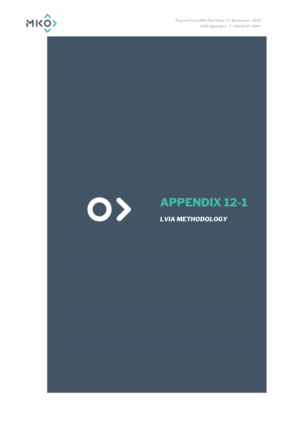

Proposed Seven Hills Wind Farm, Co. Roscommon - EIAR EIAR Appendices - F - 2022.06.03- 190907

# $\bigcirc$

# **APPENDIX 12-1**

*LVIA METHODOLOGY*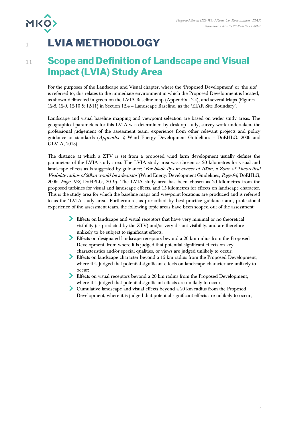# 1. **LVIA METHODOLOGY**

**MKO>** 

# **1.1 Scope and Definition of Landscape and Visual Impact (LVIA) Study Area**

For the purposes of the Landscape and Visual chapter, where the 'Proposed Development' or 'the site' is referred to, this relates to the immediate environment in which the Proposed Development is located, as shown delineated in green on the LVIA Baseline map (Appendix 12-4), and several Maps (Figures 12-8, 12-9, 12-10 & 12-11) in Section 12.4 – Landscape Baseline, as the 'EIAR Site Boundary'.

Landscape and visual baseline mapping and viewpoint selection are based on wider study areas. The geographical parameters for this LVIA was determined by desktop study, survey work undertaken, the professional judgement of the assessment team, experience from other relevant projects and policy guidance or standards (Appendix 3, Wind Energy Development Guidelines – DoEHLG, 2006 and GLVIA, 2013).

The distance at which a ZTV is set from a proposed wind farm development usually defines the parameters of the LVIA study area. The LVIA study area was chosen as 20 kilometres for visual and landscape effects as is suggested by guidance; 'For blade tips in excess of 100m, a Zone of Theoretical Visibility radius of 20km would be adequate' (Wind Energy Development Guidelines, Page 94, DoEHLG, 2006; Page 152, DoHPLG, 2019). The LVIA study area has been chosen as 20 kilometres from the proposed turbines for visual and landscape effects, and 15 kilometres for effects on landscape character. This is the study area for which the baseline maps and viewpoint locations are produced and is referred to as the 'LVIA study area'. Furthermore, as prescribed by best practice guidance and, professional experience of the assessment team, the following topic areas have been scoped out of the assessment:

- Effects on landscape and visual receptors that have very minimal or no theoretical visibility (as predicted by the ZTV) and/or very distant visibility, and are therefore unlikely to be subject to significant effects;
- Effects on designated landscape receptors beyond a 20 km radius from the Proposed Development, from where it is judged that potential significant effects on key characteristics and/or special qualities, or views are judged unlikely to occur;
- Effects on landscape character beyond a 15 km radius from the Proposed Development, where it is judged that potential significant effects on landscape character are unlikely to occur;
- Effects on visual receptors beyond a 20 km radius from the Proposed Development, where it is judged that potential significant effects are unlikely to occur;
- Cumulative landscape and visual effects beyond a 20 km radius from the Proposed Development, where it is judged that potential significant effects are unlikely to occur;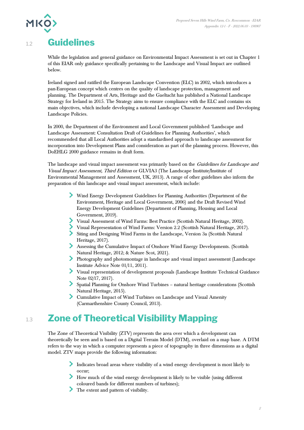

# 1.2 **Guidelines**

While the legislation and general guidance on Environmental Impact Assessment is set out in Chapter 1 of this EIAR only guidance specifically pertaining to the Landscape and Visual Impact are outlined below.

Ireland signed and ratified the European Landscape Convention (ELC) in 2002, which introduces a pan-European concept which centres on the quality of landscape protection, management and planning. The Department of Arts, Heritage and the Gaeltacht has published a National Landscape Strategy for Ireland in 2015. The Strategy aims to ensure compliance with the ELC and contains six main objectives, which include developing a national Landscape Character Assessment and Developing Landscape Policies.

In 2000, the Department of the Environment and Local Government published 'Landscape and Landscape Assessment: Consultation Draft of Guidelines for Planning Authorities', which recommended that all Local Authorities adopt a standardised approach to landscape assessment for incorporation into Development Plans and consideration as part of the planning process. However, this DoEHLG 2000 guidance remains in draft form.

The landscape and visual impact assessment was primarily based on the Guidelines for Landscape and Visual Impact Assessment, Third Edition or GLVIA3 (The Landscape Institute/Institute of Environmental Management and Assessment, UK, 2013). A range of other guidelines also inform the preparation of this landscape and visual impact assessment, which include:

- Wind Energy Development Guidelines for Planning Authorities (Department of the Environment, Heritage and Local Government, 2006) and the Draft Revised Wind Energy Development Guidelines (Department of Planning, Housing and Local Government, 2019).
- Visual Assessment of Wind Farms: Best Practice (Scottish Natural Heritage, 2002).
- Visual Representation of Wind Farms: Version 2.2 (Scottish Natural Heritage, 2017).
- Siting and Designing Wind Farms in the Landscape, Version 3a (Scottish Natural Heritage, 2017).
- Assessing the Cumulative Impact of Onshore Wind Energy Developments. (Scottish Natural Heritage, 2012; & Nature Scot, 2021).
- Photography and photomontage in landscape and visual impact assessment (Landscape Institute Advice Note 01/11, 2011).
- Visual representation of development proposals (Landscape Institute Technical Guidance Note 02/17, 2017).
- Spatial Planning for Onshore Wind Turbines natural heritage considerations (Scottish Natural Heritage, 2015).
- Cumulative Impact of Wind Turbines on Landscape and Visual Amenity (Carmarthenshire County Council, 2013).

# 1.3 **Zone of Theoretical Visibility Mapping**

The Zone of Theoretical Visibility (ZTV) represents the area over which a development can theoretically be seen and is based on a Digital Terrain Model (DTM), overlaid on a map base. A DTM refers to the way in which a computer represents a piece of topography in three dimensions as a digital model. ZTV maps provide the following information:

- Indicates broad areas where visibility of a wind energy development is most likely to occur;
- How much of the wind energy development is likely to be visible (using different coloured bands for different numbers of turbines);
- The extent and pattern of visibility.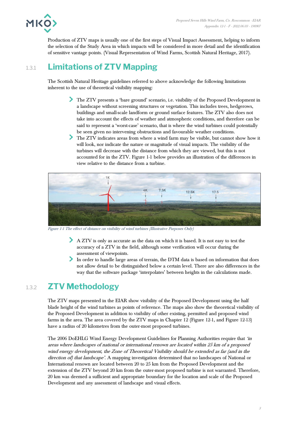

Production of ZTV maps is usually one of the first steps of Visual Impact Assessment, helping to inform the selection of the Study Area in which impacts will be considered in more detail and the identification of sensitive vantage points. (Visual Representation of Wind Farms, Scottish Natural Heritage, 2017).

# 1.3.1 **Limitations of ZTV Mapping**

The Scottish Natural Heritage guidelines referred to above acknowledge the following limitations inherent to the use of theoretical visibility mapping:

- The ZTV presents a 'bare ground' scenario, i.e. visibility of the Proposed Development in a landscape without screening structures or vegetation. This includes trees, hedgerows, buildings and small-scale landform or ground surface features. The ZTV also does not take into account the effects of weather and atmospheric conditions, and therefore can be said to represent a 'worst-case' scenario, that is where the wind turbines could potentially be seen given no intervening obstructions and favourable weather conditions.
- The ZTV indicates areas from where a wind farm may be visible, but cannot show how it will look, nor indicate the nature or magnitude of visual impacts. The visibility of the turbines will decrease with the distance from which they are viewed, but this is not accounted for in the ZTV. [Figure 1-1](#page-3-0) below provides an illustration of the differences in view relative to the distance from a turbine.



Figure 1-1 The effect of distance on visibility of wind turbines (Illustrative Purposes Only)

- <span id="page-3-0"></span>A ZTV is only as accurate as the data on which it is based. It is not easy to test the accuracy of a ZTV in the field, although some verification will occur during the assessment of viewpoints.
- In order to handle large areas of terrain, the DTM data is based on information that does not allow detail to be distinguished below a certain level. There are also differences in the way that the software package 'interpolates' between heights in the calculations made.

# 1.3.2 **ZTV Methodology**

The ZTV maps presented in the EIAR show visibility of the Proposed Development using the half blade height of the wind turbines as points of reference. The maps also show the theoretical visibility of the Proposed Development in addition to visibility of other existing, permitted and proposed wind farms in the area. The area covered by the ZTV maps in Chapter 12 (Figure 12-1, and Figure 12-13) have a radius of 20 kilometres from the outer-most proposed turbines.

The 2006 DoEHLG Wind Energy Development Guidelines for Planning Authorities require that 'in areas where landscapes of national or international renown are located within 25 km of a proposed wind energy development, the Zone of Theoretical Visibility should be extended as far (and in the direction of) that landscape'. A mapping investigation determined that no landscapes of National or International renown are located between 20 to 25 km from the Proposed Development and the extension of the ZTV beyond 20 km from the outer-most proposed turbine is not warranted. Therefore, 20 km was deemed a sufficient and appropriate boundary for the location and scale of the Proposed Development and any assessment of landscape and visual effects.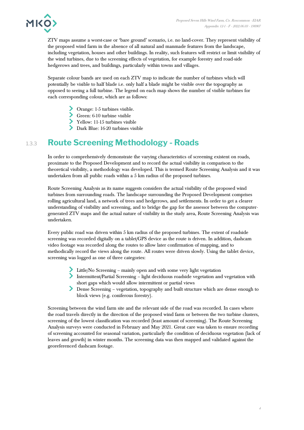

ZTV maps assume a worst-case or 'bare ground' scenario, i.e. no land-cover. They represent visibility of the proposed wind farm in the absence of all natural and manmade features from the landscape, including vegetation, houses and other buildings. In reality, such features will restrict or limit visibility of the wind turbines, due to the screening effects of vegetation, for example forestry and road-side hedgerows and trees, and buildings, particularly within towns and villages.

Separate colour bands are used on each ZTV map to indicate the number of turbines which will potentially be visible to half blade i.e. only half a blade might be visible over the topography as opposed to seeing a full turbine. The legend on each map shows the number of visible turbines for each corresponding colour, which are as follows:

- Orange: 1-5 turbines visible.
- Green: 6-10 turbine visible
- Yellow: 11-15 turbines visible
- Dark Blue: 16-20 turbines visible

# 1.3.3 **Route Screening Methodology - Roads**

In order to comprehensively demonstrate the varying characteristics of screening existent on roads, proximate to the Proposed Development and to record the actual visibility in comparison to the theoretical visibility, a methodology was developed. This is termed Route Screening Analysis and it was undertaken from all public roads within a 5 km radius of the proposed turbines.

Route Screening Analysis as its name suggests considers the actual visibility of the proposed wind turbines from surrounding roads. The landscape surrounding the Proposed Development comprises rolling agricultural land, a network of trees and hedgerows, and settlements. In order to get a clearer understanding of visibility and screening, and to bridge the gap for the assessor between the computergenerated ZTV maps and the actual nature of visibility in the study area, Route Screening Analysis was undertaken.

Every public road was driven within 5 km radius of the proposed turbines. The extent of roadside screening was recorded digitally on a tablet/GPS device as the route is driven. In addition, dashcam video footage was recorded along the routes to allow later confirmation of mapping, and to methodically record the views along the route. All routes were driven slowly. Using the tablet device, screening was logged as one of three categories:

- Little/No Screening mainly open and with some very light vegetation
- Intermittent/Partial Screening light deciduous roadside vegetation and vegetation with short gaps which would allow intermittent or partial views
- Dense Screening vegetation, topography and built structure which are dense enough to block views (e.g. coniferous forestry).

Screening between the wind farm site and the relevant side of the road was recorded. In cases where the road travels directly in the direction of the proposed wind farm or between the two turbine clusters, screening of the lowest classification was recorded (least amount of screening). The Route Screening Analysis surveys were conducted in February and May 2021. Great care was taken to ensure recording of screening accounted for seasonal variation, particularly the condition of deciduous vegetation (lack of leaves and growth) in winter months. The screening data was then mapped and validated against the georeferenced dashcam footage.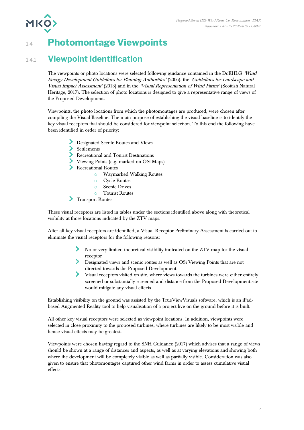**MKO** 

# 1.4 **Photomontage Viewpoints**

# 1.4.1 **Viewpoint Identification**

The viewpoints or photo locations were selected following guidance contained in the DoEHLG 'Wind Energy Development Guidelines for Planning Authorities' (2006), the 'Guidelines for Landscape and Visual Impact Assessment' (2013) and in the 'Visual Representation of Wind Farms' (Scottish Natural Heritage, 2017). The selection of photo locations is designed to give a representative range of views of the Proposed Development.

Viewpoints, the photo locations from which the photomontages are produced, were chosen after compiling the Visual Baseline. The main purpose of establishing the visual baseline is to identify the key visual receptors that should be considered for viewpoint selection. To this end the following have been identified in order of priority:

- Designated Scenic Routes and Views
- Settlements
- Recreational and Tourist Destinations
- Viewing Points (e.g. marked on OSi Maps)
- Recreational Routes
	- o Waymarked Walking Routes
	- o Cycle Routes
	- o Scenic Drives
	- o Tourist Routes
- Transport Routes

These visual receptors are listed in tables under the sections identified above along with theoretical visibility at those locations indicated by the ZTV maps.

After all key visual receptors are identified, a Visual Receptor Preliminary Assessment is carried out to eliminate the visual receptors for the following reasons:

- No or very limited theoretical visibility indicated on the ZTV map for the visual receptor
- Designated views and scenic routes as well as OSi Viewing Points that are not directed towards the Proposed Development
- Visual receptors visited on site, where views towards the turbines were either entirely screened or substantially screened and distance from the Proposed Development site would mitigate any visual effects

Establishing visibility on the ground was assisted by the TrueViewVisuals software, which is an iPadbased Augmented Reality tool to help visualisation of a project live on the ground before it is built.

All other key visual receptors were selected as viewpoint locations. In addition, viewpoints were selected in close proximity to the proposed turbines, where turbines are likely to be most visible and hence visual effects may be greatest.

Viewpoints were chosen having regard to the SNH Guidance (2017) which advises that a range of views should be shown at a range of distances and aspects, as well as at varying elevations and showing both where the development will be completely visible as well as partially visible. Consideration was also given to ensure that photomontages captured other wind farms in order to assess cumulative visual effects.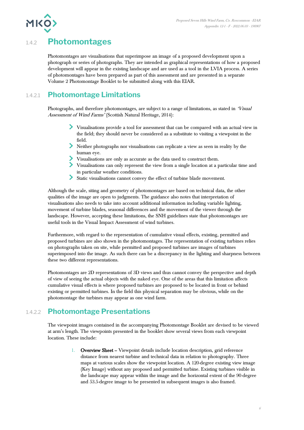

# 1.4.2 **Photomontages**

Photomontages are visualisations that superimpose an image of a proposed development upon a photograph or series of photographs. They are intended as graphical representations of how a proposed development will appear in the existing landscape and are used as a tool in the LVIA process. A series of photomontages have been prepared as part of this assessment and are presented in a separate Volume 2 Photomontage Booklet to be submitted along with this EIAR.

# 1.4.2.1 **Photomontage Limitations**

Photographs, and therefore photomontages, are subject to a range of limitations, as stated in 'Visual Assessment of Wind Farms' (Scottish Natural Heritage, 2014):

- Visualisations provide a tool for assessment that can be compared with an actual view in the field; they should never be considered as a substitute to visiting a viewpoint in the field.
- Neither photographs nor visualisations can replicate a view as seen in reality by the human eye.
- Visualisations are only as accurate as the data used to construct them.
- Visualisations can only represent the view from a single location at a particular time and in particular weather conditions.
- Static visualisations cannot convey the effect of turbine blade movement.

Although the scale, siting and geometry of photomontages are based on technical data, the other qualities of the image are open to judgments. The guidance also notes that interpretation of visualisations also needs to take into account additional information including variable lighting, movement of turbine blades, seasonal differences and the movement of the viewer through the landscape. However, accepting these limitations, the SNH guidelines state that photomontages are useful tools in the Visual Impact Assessment of wind turbines.

Furthermore, with regard to the representation of cumulative visual effects, existing, permitted and proposed turbines are also shown in the photomontages. The representation of existing turbines relies on photographs taken on site, while permitted and proposed turbines are images of turbines superimposed into the image. As such there can be a discrepancy in the lighting and sharpness between these two different representations.

Photomontages are 2D representations of 3D views and thus cannot convey the perspective and depth of view of seeing the actual objects with the naked eye. One of the areas that this limitation affects cumulative visual effects is where proposed turbines are proposed to be located in front or behind existing or permitted turbines. In the field this physical separation may be obvious, while on the photomontage the turbines may appear as one wind farm.

# 1.4.2.2 **Photomontage Presentations**

The viewpoint images contained in the accompanying Photomontage Booklet are devised to be viewed at arm's length. The viewpoints presented in the booklet show several views from each viewpoint location. These include:

> 1. Overview Sheet – Viewpoint details include location description, grid reference distance from nearest turbine and technical data in relation to photography. Three maps at various scales show the viewpoint location. A 120-degree existing view image (Key Image) without any proposed and permitted turbine. Existing turbines visible in the landscape may appear within the image and the horizontal extent of the 90-degree and 53.5-degree image to be presented in subsequent images is also framed.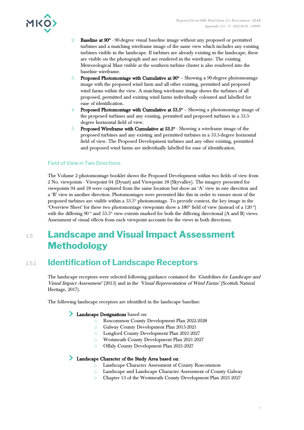

- 2. Baseline at 90° 90-degree visual baseline image without any proposed or permitted turbines and a matching wireframe image of the same view which includes any existing turbines visible in the landscape. If turbines are already existing in the landscape, these are visible on the photograph and are rendered in the wireframe. The existing Meteorological Mast visible at the southern turbine cluster is also rendered into the baseline wireframe.
- 3. Proposed Photomontage with Cumulative at 90° Showing a 90-degree photomontage image with the proposed wind farm and all other existing, permitted and proposed wind farms within the view. A matching wireframe image shows the turbines of all proposed, permitted and existing wind farms individually coloured and labelled for ease of identification.
- 4. Proposed Photomontage with Cumulative at  $53.5^{\circ}$  Showing a photomontage image of the proposed turbines and any existing, permitted and proposed turbines in a 53.5 degree horizontal field of view.
- $5.$  Proposed Wireframe with Cumulative at  $53.5^{\circ}$  Showing a wireframe image of the proposed turbines and any existing and permitted turbines in a 53.5-degree horizontal field of view. The Proposed Development turbines and any other existing, permitted and proposed wind farms are individually labelled for ease of identification.

#### Field of View in Two Directions

The Volume 2 photomontage booklet shows the Proposed Development within two fields of view from 2 No. viewpoints - Viewpoint 04 (Dysart) and Viewpoint 18 (Skyvalley). The imagery presented for viewpoints 04 and 18 were captured from the same location but show an 'A' view in one direction and a 'B' view in another direction. Photomontages were presented like this in order to ensure most of the proposed turbines are visible within a 53.5° photomontage. To provide context, the key image in the 'Overview Sheet' for these two photomontage viewpoints show a  $180^\circ$  field of view (instead of a  $120^\circ$ ) with the differing  $90^{\circ}$  and  $53.5^{\circ}$  view extents marked for both the differing directional (A and B) views. Assessment of visual effects from each viewpoint accounts for the views in both directions.

# 1.5 **Landscape and Visual Impact Assessment Methodology**

# 1.5.1 **Identification of Landscape Receptors**

The landscape receptors were selected following guidance contained the 'Guidelines for Landscape and Visual Impact Assessment' (2013) and in the 'Visual Representation of Wind Farms' (Scottish Natural Heritage, 2017).

The following landscape receptors are identified in the landscape baseline:

#### Landscape Designations based on:

- o Roscommon County Development Plan 2022-2028
	- o Galway County Development Plan 2015-2021
	- o Longford County Development Plan 2021-2027
	- o Westmeath County Development Plan 2021-2027
	- o Offaly County Development Plan 2021-2027

#### Landscape Character of the Study Area based on:

- o Landscape Character Assessment of County Roscommon
- o Landscape and Landscape Character Assessment of County Galway
- o Chapter 13 of the Westmeath County Development Plan 2021-2027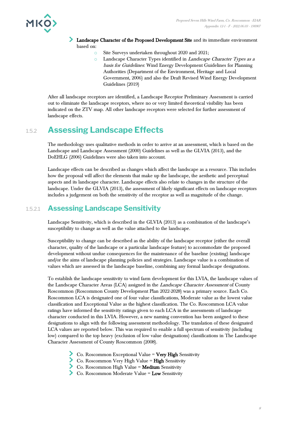

- Landscape Character of the Proposed Development Site and its immediate environment based on:
	- Site Surveys undertaken throughout 2020 and 2021;
	- o Landscape Character Types identified in Landscape Character Types as a basis for Guidelines: Wind Energy Development Guidelines for Planning Authorities (Department of the Environment, Heritage and Local Government, 2006) and also the Draft Revised Wind Energy Development Guidelines (2019)

After all landscape receptors are identified, a Landscape Receptor Preliminary Assessment is carried out to eliminate the landscape receptors, where no or very limited theoretical visibility has been indicated on the ZTV map. All other landscape receptors were selected for further assessment of landscape effects.

# 1.5.2 **Assessing Landscape Effects**

The methodology uses qualitative methods in order to arrive at an assessment, which is based on the Landscape and Landscape Assessment (2000) Guidelines as well as the GLVIA (2013), and the DoEHLG (2006) Guidelines were also taken into account.

Landscape effects can be described as changes which affect the landscape as a resource. This includes how the proposal will affect the elements that make up the landscape, the aesthetic and perceptual aspects and its landscape character. Landscape effects also relate to changes in the structure of the landscape. Under the GLVIA (2013), the assessment of likely significant effects on landscape receptors includes a judgement on both the sensitivity of the receptor as well as magnitude of the change.

### 1.5.2.1 **Assessing Landscape Sensitivity**

Landscape Sensitivity, which is described in the GLVIA (2013) as a combination of the landscape's susceptibility to change as well as the value attached to the landscape.

Susceptibility to change can be described as the ability of the landscape receptor (either the overall character, quality of the landscape or a particular landscape feature) to accommodate the proposed development without undue consequences for the maintenance of the baseline (existing) landscape and/or the aims of landscape planning policies and strategies. Landscape value is a combination of values which are assessed in the landscape baseline, combining any formal landscape designations.

To establish the landscape sensitivity to wind farm development for this LVIA, the landscape values of the Landscape Character Areas (LCA) assigned in the *Landscape Character Assessment* of County Roscommon (Roscommon County Development Plan 2022-2028) was a primary source. Each Co. Roscommon LCA is designated one of four value classifications, Moderate value as the lowest value classification and Exceptional Value as the highest classification. The Co. Roscommon LCA value ratings have informed the sensitivity ratings given to each LCA in the assessments of landscape character conducted in this LVIA. However, a new naming convention has been assigned to these designations to align with the following assessment methodology. The translation of these designated LCA values are reported below. This was required to enable a full spectrum of sensitivity (including low) compared to the top heavy (exclusion of low value designations) classifications in The Landscape Character Assessment of County Roscommon (2008).

- Co. Roscommon Exceptional Value = Very High Sensitivity
- $\sum$  Co. Roscommon Very High Value = High Sensitivity
- Co. Roscommon High Value = Medium Sensitivity
- Co. Roscommon Moderate Value = **Low** Sensitivity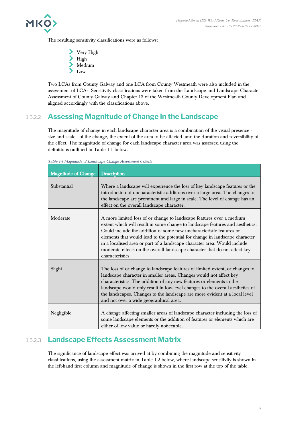

The resulting sensitivity classifications were as follows:

Very High High Medium > Low

Two LCAs from County Galway and one LCA from County Westmeath were also included in the assessment of LCAs. Sensitivity classifications were taken from the Landscape and Landscape Character Assessment of County Galway and Chapter 13 of the Westmeath County Development Plan and aligned accordingly with the classifications above.

## 1.5.2.2 **Assessing Magnitude of Change in the Landscape**

The magnitude of change in each landscape character area is a combination of the visual presence size and scale - of the change, the extent of the area to be affected, and the duration and reversibility of the effect. The magnitude of change for each landscape character area was assessed using the definitions outlined in [Table 1-1](#page-9-0) below.

| <b>Magnitude of Change</b> | <b>Description</b>                                                                                                                                                                                                                                                                                                                                                                                                                                                                        |
|----------------------------|-------------------------------------------------------------------------------------------------------------------------------------------------------------------------------------------------------------------------------------------------------------------------------------------------------------------------------------------------------------------------------------------------------------------------------------------------------------------------------------------|
| Substantial                | Where a landscape will experience the loss of key landscape features or the<br>introduction of uncharacteristic additions over a large area. The changes to<br>the landscape are prominent and large in scale. The level of change has an<br>effect on the overall landscape character.                                                                                                                                                                                                   |
| Moderate                   | A more limited loss of or change to landscape features over a medium<br>extent which will result in some change to landscape features and aesthetics.<br>Could include the addition of some new uncharacteristic features or<br>elements that would lead to the potential for change in landscape character<br>in a localised area or part of a landscape character area. Would include<br>moderate effects on the overall landscape character that do not affect key<br>characteristics. |
| Slight                     | The loss of or change to landscape features of limited extent, or changes to<br>landscape character in smaller areas. Changes would not affect key<br>characteristics. The addition of any new features or elements to the<br>landscape would only result in low-level changes to the overall aesthetics of<br>the landscapes. Changes to the landscape are more evident at a local level<br>and not over a wide geographical area.                                                       |
| Negligible                 | A change affecting smaller areas of landscape character including the loss of<br>some landscape elements or the addition of features or elements which are<br>either of low value or hardly noticeable.                                                                                                                                                                                                                                                                                   |

<span id="page-9-0"></span>Table 1-1 Magnitude of Landscape Change Assessment Criteria

### 1.5.2.3 **Landscape Effects Assessment Matrix**

The significance of landscape effect was arrived at by combining the magnitude and sensitivity classifications, using the assessment matrix in [Table 1-2](#page-10-0) below, where landscape sensitivity is shown in the left-hand first column and magnitude of change is shown in the first row at the top of the table.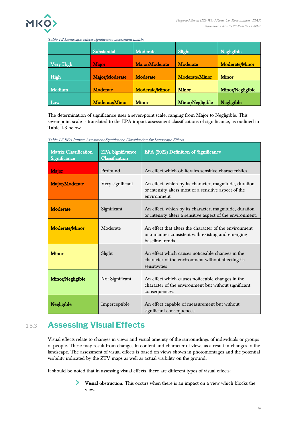

#### <span id="page-10-0"></span>Table 1-2 Landscape effects significance assessment matrix

|                  | Substantial           | Moderate              | Slight                | Negligible            |
|------------------|-----------------------|-----------------------|-----------------------|-----------------------|
| <b>Very High</b> | <b>Major</b>          | Major/Moderate        | Moderate              | <b>Moderate/Minor</b> |
| High             | Major/Moderate        | Moderate              | <b>Moderate/Minor</b> | <b>Minor</b>          |
| Medium           | Moderate              | <b>Moderate/Minor</b> | <b>Minor</b>          | Minor/Negligible      |
| Low              | <b>Moderate/Minor</b> | <b>Minor</b>          | Minor/Negligible      | Negligible            |

The determination of significance uses a seven-point scale, ranging from Major to Negligible. This seven-point scale is translated to the EPA impact assessment classifications of significance, as outlined in [Table 1-3](#page-10-1) below.

| <b>Matrix Classification</b><br>Significance | <b>EPA</b> Significance<br>Classification | EPA (2022) Definition of Significance                                                                                          |
|----------------------------------------------|-------------------------------------------|--------------------------------------------------------------------------------------------------------------------------------|
| <b>Major</b>                                 | Profound                                  | An effect which obliterates sensitive characteristics                                                                          |
| Major/Moderate                               | Very significant                          | An effect, which by its character, magnitude, duration<br>or intensity alters most of a sensitive aspect of the<br>environment |
| <b>Moderate</b>                              | Significant                               | An effect, which by its character, magnitude, duration<br>or intensity alters a sensitive aspect of the environment.           |
| Moderate/Minor                               | Moderate                                  | An effect that alters the character of the environment<br>in a manner consistent with existing and emerging<br>baseline trends |
| <b>Minor</b>                                 | Slight                                    | An effect which causes noticeable changes in the<br>character of the environment without affecting its<br>sensitivities        |
| Minor/Negligible                             | Not Significant                           | An effect which causes noticeable changes in the<br>character of the environment but without significant<br>consequences.      |
| Negligible                                   | Imperceptible                             | An effect capable of measurement but without<br>significant consequences                                                       |

<span id="page-10-1"></span>Table 1-3 EPA Impact Assessment Significance Classification for Landscape Effects

# 1.5.3 **Assessing Visual Effects**

Visual effects relate to changes in views and visual amenity of the surroundings of individuals or groups of people. These may result from changes in content and character of views as a result in changes to the landscape. The assessment of visual effects is based on views shown in photomontages and the potential visibility indicated by the ZTV maps as well as actual visibility on the ground.

It should be noted that in assessing visual effects, there are different types of visual effects:

⋗ Visual obstruction: This occurs when there is an impact on a view which blocks the view.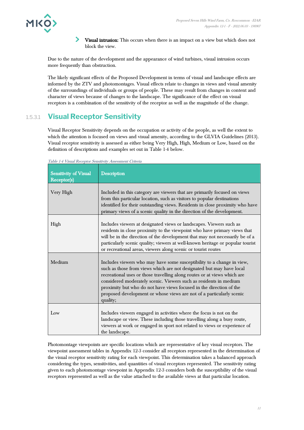

 $\blacktriangleright$ Visual intrusion: This occurs when there is an impact on a view but which does not block the view.

Due to the nature of the development and the appearance of wind turbines, visual intrusion occurs more frequently than obstruction.

The likely significant effects of the Proposed Development in terms of visual and landscape effects are informed by the ZTV and photomontages. Visual effects relate to changes in views and visual amenity of the surroundings of individuals or groups of people. These may result from changes in content and character of views because of changes to the landscape. The significance of the effect on visual receptors is a combination of the sensitivity of the receptor as well as the magnitude of the change.

## 1.5.3.1 **Visual Receptor Sensitivity**

Visual Receptor Sensitivity depends on the occupation or activity of the people, as well the extent to which the attention is focused on views and visual amenity, according to the GLVIA Guidelines (2013). Visual receptor sensitivity is assessed as either being Very High, High, Medium or Low, based on the definition of descriptions and examples set out in [Table 1-4](#page-11-0) below.

| Sensitivity of Visual<br>Receptor(s) | <b>Description</b>                                                                                                                                                                                                                                                                                                                                                                                                                                         |
|--------------------------------------|------------------------------------------------------------------------------------------------------------------------------------------------------------------------------------------------------------------------------------------------------------------------------------------------------------------------------------------------------------------------------------------------------------------------------------------------------------|
| Very High                            | Included in this category are viewers that are primarily focused on views<br>from this particular location, such as visitors to popular destinations<br>identified for their outstanding views. Residents in close proximity who have<br>primary views of a scenic quality in the direction of the development.                                                                                                                                            |
| High                                 | Includes viewers at designated views or landscapes. Viewers such as<br>residents in close proximity to the viewpoint who have primary views that<br>will be in the direction of the development that may not necessarily be of a<br>particularly scenic quality; viewers at well-known heritage or popular tourist<br>or recreational areas, viewers along scenic or tourist routes                                                                        |
| Medium                               | Includes viewers who may have some susceptibility to a change in view,<br>such as those from views which are not designated but may have local<br>recreational uses or those travelling along routes or at views which are<br>considered moderately scenic. Viewers such as residents in medium<br>proximity but who do not have views focused in the direction of the<br>proposed development or whose views are not of a particularly scenic<br>quality; |
| Low                                  | Includes viewers engaged in activities where the focus is not on the<br>landscape or view. These including those travelling along a busy route,<br>viewers at work or engaged in sport not related to views or experience of<br>the landscape.                                                                                                                                                                                                             |

<span id="page-11-0"></span>Table 1-4 Visual Receptor Sensitivity Assessment Criteria

Photomontage viewpoints are specific locations which are representative of key visual receptors. The viewpoint assessment tables in Appendix 12-3 consider all receptors represented in the determination of the visual receptor sensitivity rating for each viewpoint. This determination takes a balanced approach considering the types, sensitivities, and quantities of visual receptors represented. The sensitivity rating given to each photomontage viewpoint in Appendix 12-3 considers both the susceptibility of the visual receptors represented as well as the value attached to the available views at that particular location.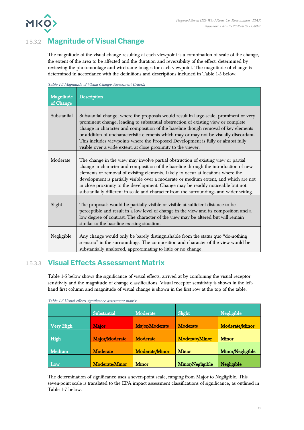

# 1.5.3.2 **Magnitude of Visual Change**

The magnitude of the visual change resulting at each viewpoint is a combination of scale of the change, the extent of the area to be affected and the duration and reversibility of the effect, determined by reviewing the photomontage and wireframe images for each viewpoint. The magnitude of change is determined in accordance with the definitions and descriptions included in [Table 1-5](#page-12-0) below.

<span id="page-12-0"></span>

| Table 1-5 Magnitude of Visual Change Assessment Criteria |  |  |
|----------------------------------------------------------|--|--|
|                                                          |  |  |

| Magnitude<br>of Change | <b>Description</b>                                                                                                                                                                                                                                                                                                                                                                                                                                                                                                                  |
|------------------------|-------------------------------------------------------------------------------------------------------------------------------------------------------------------------------------------------------------------------------------------------------------------------------------------------------------------------------------------------------------------------------------------------------------------------------------------------------------------------------------------------------------------------------------|
| Substantial            | Substantial change, where the proposals would result in large-scale, prominent or very<br>prominent change, leading to substantial obstruction of existing view or complete<br>change in character and composition of the baseline though removal of key elements<br>or addition of uncharacteristic elements which may or may not be visually discordant.<br>This includes viewpoints where the Proposed Development is fully or almost fully<br>visible over a wide extent, at close proximity to the viewer.                     |
| Moderate               | The change in the view may involve partial obstruction of existing view or partial<br>change in character and composition of the baseline through the introduction of new<br>elements or removal of existing elements. Likely to occur at locations where the<br>development is partially visible over a moderate or medium extent, and which are not<br>in close proximity to the development. Change may be readily noticeable but not<br>substantially different in scale and character from the surroundings and wider setting. |
| Slight                 | The proposals would be partially visible or visible at sufficient distance to be<br>perceptible and result in a low level of change in the view and its composition and a<br>low degree of contrast. The character of the view may be altered but will remain<br>similar to the baseline existing situation.                                                                                                                                                                                                                        |
| Negligible             | Any change would only be barely distinguishable from the status quo "do-nothing<br>scenario" in the surroundings. The composition and character of the view would be<br>substantially unaltered, approximating to little or no change.                                                                                                                                                                                                                                                                                              |

### 1.5.3.3 **Visual Effects Assessment Matrix**

[Table 1-6](#page-12-1) below shows the significance of visual effects, arrived at by combining the visual receptor sensitivity and the magnitude of change classifications. Visual receptor sensitivity is shown in the lefthand first column and magnitude of visual change is shown in the first row at the top of the table.

| Table 1-0 Visual effects significance assessment matrix |                       |                       |                       |                       |
|---------------------------------------------------------|-----------------------|-----------------------|-----------------------|-----------------------|
|                                                         | Substantial           | Moderate              | Slight                | Negligible            |
| Very High                                               | <b>Major</b>          | Major/Moderate        | Moderate              | <b>Moderate/Minor</b> |
| High                                                    | Major/Moderate        | <b>Moderate</b>       | <b>Moderate/Minor</b> | <b>Minor</b>          |
| Medium                                                  | Moderate              | <b>Moderate/Minor</b> | <b>Minor</b>          | Minor/Negligible      |
| Low                                                     | <b>Moderate/Minor</b> | <b>Minor</b>          | Minor/Negligible      | Negligible            |

<span id="page-12-1"></span>Table 1-6 Visual effects significance assessment matrix

The determination of significance uses a seven-point scale, ranging from Major to Negligible. This seven-point scale is translated to the EPA impact assessment classifications of significance, as outlined in [Table 1-7](#page-13-0) below.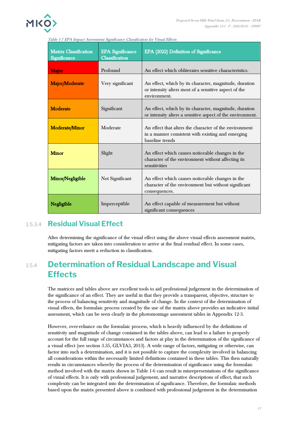

<span id="page-13-0"></span>Table 1-7 EPA Impact Assessment Significance Classification for Visual Effects

| <b>Matrix Classification</b><br>Significance | <b>EPA</b> Significance<br>Classification | EPA (2022) Definition of Significance                                                                                           |
|----------------------------------------------|-------------------------------------------|---------------------------------------------------------------------------------------------------------------------------------|
| <b>Major</b>                                 | Profound                                  | An effect which obliterates sensitive characteristics.                                                                          |
| Major/Moderate                               | Very significant                          | An effect, which by its character, magnitude, duration<br>or intensity alters most of a sensitive aspect of the<br>environment. |
| Moderate                                     | Significant                               | An effect, which by its character, magnitude, duration<br>or intensity alters a sensitive aspect of the environment.            |
| Moderate/Minor                               | Moderate                                  | An effect that alters the character of the environment<br>in a manner consistent with existing and emerging<br>baseline trends  |
| <b>Minor</b>                                 | Slight                                    | An effect which causes noticeable changes in the<br>character of the environment without affecting its<br>sensitivities         |
| Minor/Negligible                             | Not Significant                           | An effect which causes noticeable changes in the<br>character of the environment but without significant<br>consequences.       |
| Negligible                                   | Imperceptible                             | An effect capable of measurement but without<br>significant consequences                                                        |

#### 1.5.3.4 **Residual Visual Effect**

After determining the significance of the visual effect using the above visual effects assessment matrix, mitigating factors are taken into consideration to arrive at the final residual effect. In some cases, mitigating factors merit a reduction in classification.

# 1.5.4 **Determination of Residual Landscape and Visual Effects**

The matrices and tables above are excellent tools to aid professional judgement in the determination of the significance of an effect. They are useful in that they provide a transparent, objective, structure to the process of balancing sensitivity and magnitude of change. In the context of the determination of visual effects, the formulaic process created by the use of the matrix above provides an indicative initial assessment, which can be seen clearly in the photomontage assessment tables in Appendix 12-3.

However, over-reliance on the formulaic process, which is heavily influenced by the definitions of sensitivity and magnitude of change contained in the tables above, can lead to a failure to properly account for the full range of circumstances and factors at play in the determination of the significance of a visual effect (see section 3.35, GLVIA3, 2013). A wide range of factors, mitigating or otherwise, can factor into such a determination, and it is not possible to capture the complexity involved in balancing all considerations within the necessarily limited definitions contained in these tables. This then naturally results in circumstances whereby the process of the determination of significance using the formulaic method involved with the matrix shown in [Table 1-6](#page-12-1) can result in misrepresentations of the significance of visual effects. It is only with professional judgement, and narrative descriptions of effect, that such complexity can be integrated into the determination of significance. Therefore, the formulaic methods based upon the matrix presented above is combined with professional judgement in the determination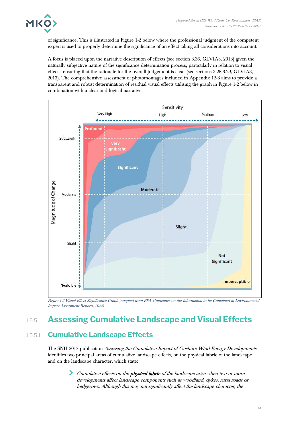of significance. This is illustrated in [Figure 1-2](#page-14-0) below where the professional judgment of the competent expert is used to properly determine the significance of an effect taking all considerations into account.

A focus is placed upon the narrative description of effects (see section 3.36, GLVIA3, 2013) given the naturally subjective nature of the significance determination process, particularly in relation to visual effects, ensuring that the rationale for the overall judgement is clear (see sections 3.28-3.29, GLVIA3, 2013). The comprehensive assessment of photomontages included in Appendix 12-3 aims to provide a transparent and robust determination of residual visual effects utilising the graph in [Figure 1-2](#page-14-0) below in combination with a clear and logical narrative.



<span id="page-14-0"></span>Figure 1-2 Visual Effect Significance Graph (adapted from EPA Guidelines on the Information to be Contained in Environmental Impact Assessment Reports, 2022)

# 1.5.5 **Assessing Cumulative Landscape and Visual Effects**

### 1.5.5.1 **Cumulative Landscape Effects**

The SNH 2017 publication Assessing the Cumulative Impact of Onshore Wind Energy Developments identifies two principal areas of cumulative landscape effects, on the physical fabric of the landscape and on the landscape character, which state:

> Cumulative effects on the *physical fabric* of the landscape arise when two or more developments affect landscape components such as woodland, dykes, rural roads or hedgerows. Although this may not significantly affect the landscape character, the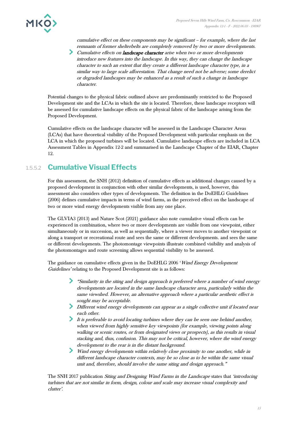

cumulative effect on these components may be significant – for example, where the last remnants of former shelterbelts are completely removed by two or more developments.

Cumulative effects on *landscape character* arise when two or more developments introduce new features into the landscape. In this way, they can change the landscape character to such an extent that they create a different landscape character type, in a similar way to large scale afforestation. That change need not be adverse; some derelict or degraded landscapes may be enhanced as a result of such a change in landscape character.

Potential changes to the physical fabric outlined above are predominantly restricted to the Proposed Development site and the LCAs in which the site is located. Therefore, these landscape receptors will be assessed for cumulative landscape effects on the physical fabric of the landscape arising from the Proposed Development.

Cumulative effects on the landscape character will be assessed in the Landscape Character Areas (LCAs) that have theoretical visibility of the Proposed Development with particular emphasis on the LCA in which the proposed turbines will be located. Cumulative landscape effects are included in LCA Assessment Tables in Appendix 12-2 and summarised in the Landscape Chapter of the EIAR, Chapter 12.

### 1.5.5.2 **Cumulative Visual Effects**

For this assessment, the SNH (2012) definition of cumulative effects as additional changes caused by a proposed development in conjunction with other similar developments, is used, however, this assessment also considers other types of developments. The definition in the DoEHLG Guidelines (2006) defines cumulative impacts in terms of wind farms, as the perceived effect on the landscape of two or more wind energy developments visible from any one place.

The GLVIA3 (2013) and Nature Scot (2021) guidance also note cumulative visual effects can be experienced in combination, where two or more developments are visible from one viewpoint, either simultaneously or in succession, as well as sequentially, where a viewer moves to another viewpoint or along a transport or recreational route and sees the same or different developments. and sees the same or different developments. The photomontage viewpoints illustrate combined visibility and analysis of the photomontages and route screening allows sequential visibility to be assessed.

The guidance on cumulative effects given in the DoEHLG 2006 'Wind Energy Development Guidelines' relating to the Proposed Development site is as follows:

- "Similarity in the siting and design approach is preferred where a number of wind energy developments are located in the same landscape character area, particularly within the same viewshed. However, an alternative approach where a particular aesthetic effect is sought may be acceptable.
- Different wind energy developments can appear as a single collective unit if located near each other.
- It is preferable to avoid locating turbines where they can be seen one behind another, when viewed from highly sensitive key viewpoints (for example, viewing points along walking or scenic routes, or from designated views or prospects), as this results in visual stacking and, thus, confusion. This may not be critical, however, where the wind energy development to the rear is in the distant background.
- Wind energy developments within relatively close proximity to one another, while in different landscape character contexts, may be so close as to be within the same visual unit and, therefore, should involve the same siting and design approach."

The SNH 2017 publication Siting and Designing Wind Farms in the Landscape states that 'introducing turbines that are not similar in form, design, colour and scale may increase visual complexity and clutter'.